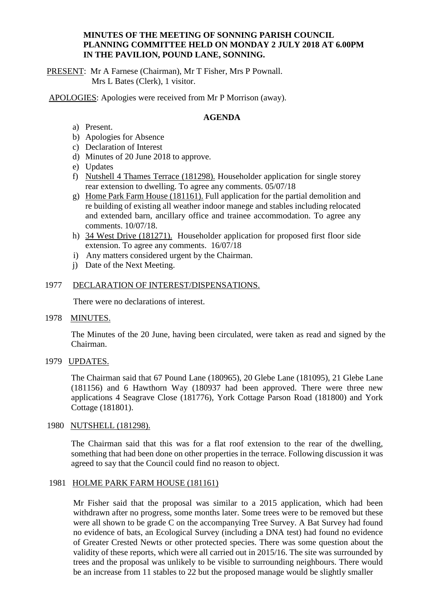#### **MINUTES OF THE MEETING OF SONNING PARISH COUNCIL PLANNING COMMITTEE HELD ON MONDAY 2 JULY 2018 AT 6.00PM IN THE PAVILION, POUND LANE, SONNING.**

PRESENT: Mr A Farnese (Chairman), Mr T Fisher, Mrs P Pownall. Mrs L Bates (Clerk), 1 visitor.

APOLOGIES: Apologies were received from Mr P Morrison (away).

# **AGENDA**

- a) Present.
- b) Apologies for Absence
- c) Declaration of Interest
- d) Minutes of 20 June 2018 to approve.
- e) Updates
- f) Nutshell 4 Thames Terrace (181298). Householder application for single storey rear extension to dwelling. To agree any comments. 05/07/18
- g) Home Park Farm House (181161). Full application for the partial demolition and re building of existing all weather indoor manege and stables including relocated and extended barn, ancillary office and trainee accommodation. To agree any comments. 10/07/18.
- h) 34 West Drive (181271). Householder application for proposed first floor side extension. To agree any comments. 16/07/18
- i) Any matters considered urgent by the Chairman.
- j) Date of the Next Meeting.

## 1977 DECLARATION OF INTEREST/DISPENSATIONS.

There were no declarations of interest.

1978 MINUTES.

The Minutes of the 20 June, having been circulated, were taken as read and signed by the Chairman.

1979 UPDATES.

The Chairman said that 67 Pound Lane (180965), 20 Glebe Lane (181095), 21 Glebe Lane (181156) and 6 Hawthorn Way (180937 had been approved. There were three new applications 4 Seagrave Close (181776), York Cottage Parson Road (181800) and York Cottage (181801).

## 1980 NUTSHELL (181298).

The Chairman said that this was for a flat roof extension to the rear of the dwelling, something that had been done on other properties in the terrace. Following discussion it was agreed to say that the Council could find no reason to object.

#### 1981 HOLME PARK FARM HOUSE (181161)

Mr Fisher said that the proposal was similar to a 2015 application, which had been withdrawn after no progress, some months later. Some trees were to be removed but these were all shown to be grade C on the accompanying Tree Survey. A Bat Survey had found no evidence of bats, an Ecological Survey (including a DNA test) had found no evidence of Greater Crested Newts or other protected species. There was some question about the validity of these reports, which were all carried out in 2015/16. The site was surrounded by trees and the proposal was unlikely to be visible to surrounding neighbours. There would be an increase from 11 stables to 22 but the proposed manage would be slightly smaller